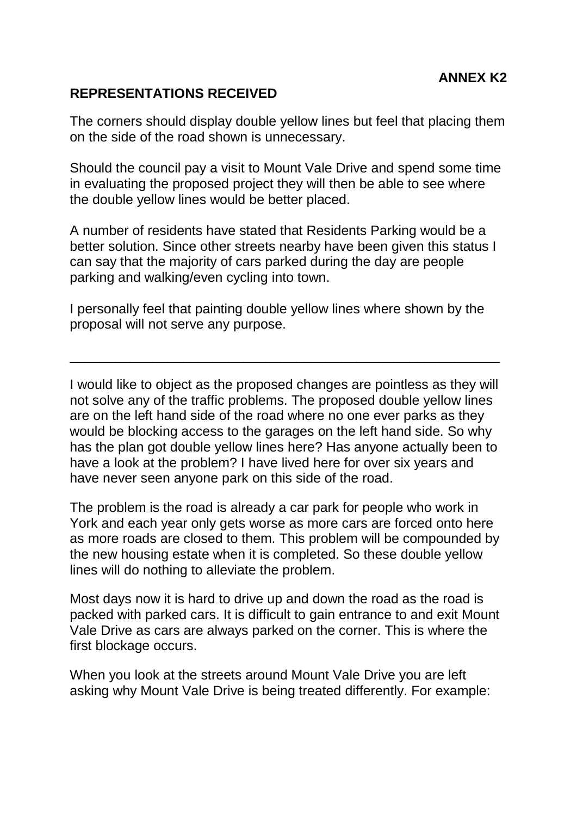## **REPRESENTATIONS RECEIVED**

The corners should display double yellow lines but feel that placing them on the side of the road shown is unnecessary.

Should the council pay a visit to Mount Vale Drive and spend some time in evaluating the proposed project they will then be able to see where the double yellow lines would be better placed.

A number of residents have stated that Residents Parking would be a better solution. Since other streets nearby have been given this status I can say that the majority of cars parked during the day are people parking and walking/even cycling into town.

I personally feel that painting double yellow lines where shown by the proposal will not serve any purpose.

\_\_\_\_\_\_\_\_\_\_\_\_\_\_\_\_\_\_\_\_\_\_\_\_\_\_\_\_\_\_\_\_\_\_\_\_\_\_\_\_\_\_\_\_\_\_\_\_\_\_\_\_\_\_\_\_\_

I would like to object as the proposed changes are pointless as they will not solve any of the traffic problems. The proposed double yellow lines are on the left hand side of the road where no one ever parks as they would be blocking access to the garages on the left hand side. So why has the plan got double yellow lines here? Has anyone actually been to have a look at the problem? I have lived here for over six years and have never seen anyone park on this side of the road.

The problem is the road is already a car park for people who work in York and each year only gets worse as more cars are forced onto here as more roads are closed to them. This problem will be compounded by the new housing estate when it is completed. So these double yellow lines will do nothing to alleviate the problem.

Most days now it is hard to drive up and down the road as the road is packed with parked cars. It is difficult to gain entrance to and exit Mount Vale Drive as cars are always parked on the corner. This is where the first blockage occurs.

When you look at the streets around Mount Vale Drive you are left asking why Mount Vale Drive is being treated differently. For example: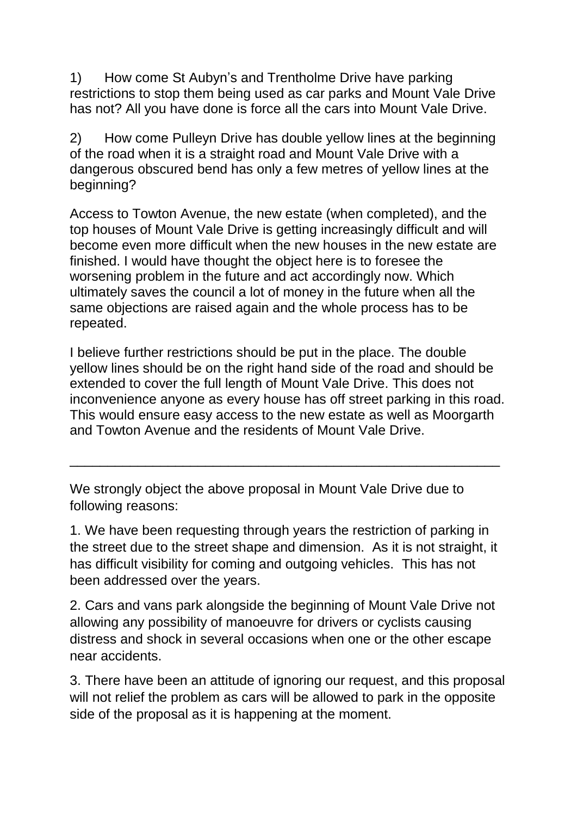1) How come St Aubyn's and Trentholme Drive have parking restrictions to stop them being used as car parks and Mount Vale Drive has not? All you have done is force all the cars into Mount Vale Drive.

2) How come Pulleyn Drive has double yellow lines at the beginning of the road when it is a straight road and Mount Vale Drive with a dangerous obscured bend has only a few metres of yellow lines at the beginning?

Access to Towton Avenue, the new estate (when completed), and the top houses of Mount Vale Drive is getting increasingly difficult and will become even more difficult when the new houses in the new estate are finished. I would have thought the object here is to foresee the worsening problem in the future and act accordingly now. Which ultimately saves the council a lot of money in the future when all the same objections are raised again and the whole process has to be repeated.

I believe further restrictions should be put in the place. The double yellow lines should be on the right hand side of the road and should be extended to cover the full length of Mount Vale Drive. This does not inconvenience anyone as every house has off street parking in this road. This would ensure easy access to the new estate as well as Moorgarth and Towton Avenue and the residents of Mount Vale Drive.

\_\_\_\_\_\_\_\_\_\_\_\_\_\_\_\_\_\_\_\_\_\_\_\_\_\_\_\_\_\_\_\_\_\_\_\_\_\_\_\_\_\_\_\_\_\_\_\_\_\_\_\_\_\_\_\_\_

We strongly object the above proposal in Mount Vale Drive due to following reasons:

1. We have been requesting through years the restriction of parking in the street due to the street shape and dimension. As it is not straight, it has difficult visibility for coming and outgoing vehicles. This has not been addressed over the years.

2. Cars and vans park alongside the beginning of Mount Vale Drive not allowing any possibility of manoeuvre for drivers or cyclists causing distress and shock in several occasions when one or the other escape near accidents.

3. There have been an attitude of ignoring our request, and this proposal will not relief the problem as cars will be allowed to park in the opposite side of the proposal as it is happening at the moment.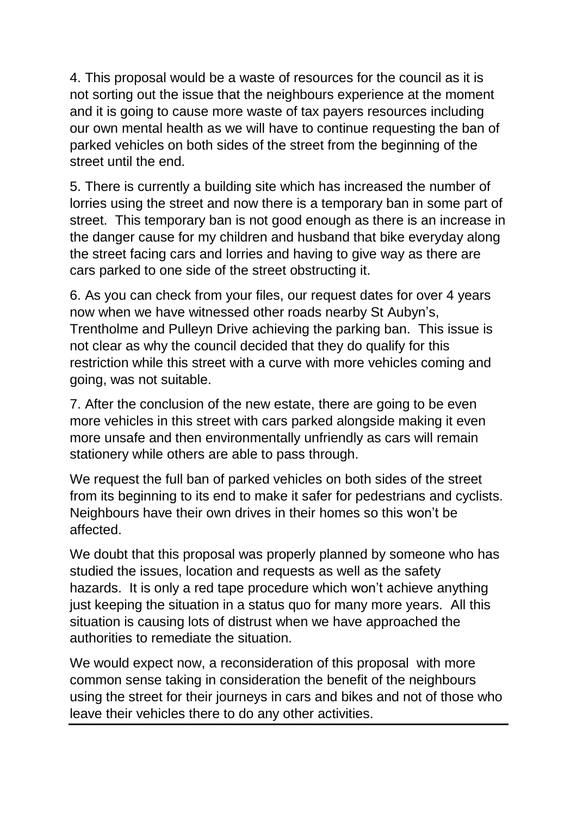4. This proposal would be a waste of resources for the council as it is not sorting out the issue that the neighbours experience at the moment and it is going to cause more waste of tax payers resources including our own mental health as we will have to continue requesting the ban of parked vehicles on both sides of the street from the beginning of the street until the end.

5. There is currently a building site which has increased the number of lorries using the street and now there is a temporary ban in some part of street. This temporary ban is not good enough as there is an increase in the danger cause for my children and husband that bike everyday along the street facing cars and lorries and having to give way as there are cars parked to one side of the street obstructing it.

6. As you can check from your files, our request dates for over 4 years now when we have witnessed other roads nearby St Aubyn's, Trentholme and Pulleyn Drive achieving the parking ban. This issue is not clear as why the council decided that they do qualify for this restriction while this street with a curve with more vehicles coming and going, was not suitable.

7. After the conclusion of the new estate, there are going to be even more vehicles in this street with cars parked alongside making it even more unsafe and then environmentally unfriendly as cars will remain stationery while others are able to pass through.

We request the full ban of parked vehicles on both sides of the street from its beginning to its end to make it safer for pedestrians and cyclists. Neighbours have their own drives in their homes so this won't be affected.

We doubt that this proposal was properly planned by someone who has studied the issues, location and requests as well as the safety hazards. It is only a red tape procedure which won't achieve anything just keeping the situation in a status quo for many more years. All this situation is causing lots of distrust when we have approached the authorities to remediate the situation.

We would expect now, a reconsideration of this proposal with more common sense taking in consideration the benefit of the neighbours using the street for their journeys in cars and bikes and not of those who leave their vehicles there to do any other activities.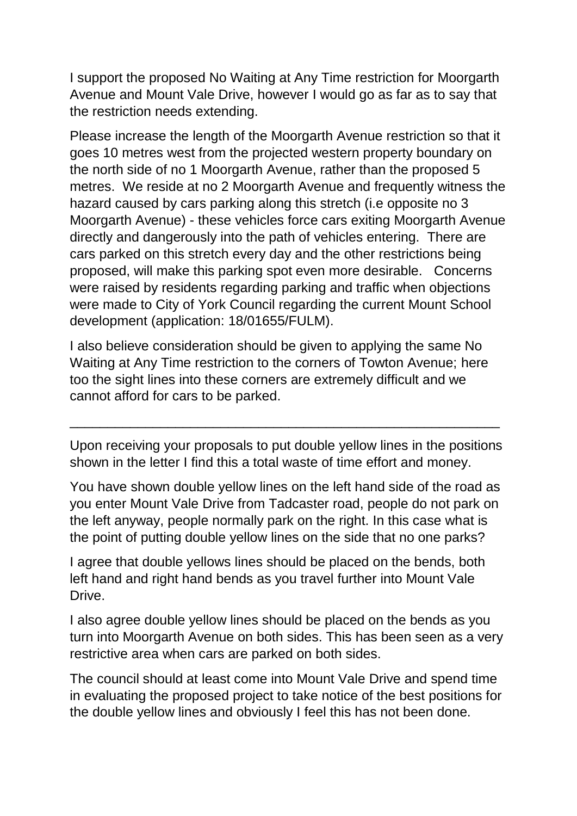I support the proposed No Waiting at Any Time restriction for Moorgarth Avenue and Mount Vale Drive, however I would go as far as to say that the restriction needs extending.

Please increase the length of the Moorgarth Avenue restriction so that it goes 10 metres west from the projected western property boundary on the north side of no 1 Moorgarth Avenue, rather than the proposed 5 metres. We reside at no 2 Moorgarth Avenue and frequently witness the hazard caused by cars parking along this stretch (i.e opposite no 3 Moorgarth Avenue) - these vehicles force cars exiting Moorgarth Avenue directly and dangerously into the path of vehicles entering. There are cars parked on this stretch every day and the other restrictions being proposed, will make this parking spot even more desirable. Concerns were raised by residents regarding parking and traffic when objections were made to City of York Council regarding the current Mount School development (application: 18/01655/FULM).

I also believe consideration should be given to applying the same No Waiting at Any Time restriction to the corners of Towton Avenue; here too the sight lines into these corners are extremely difficult and we cannot afford for cars to be parked.

Upon receiving your proposals to put double yellow lines in the positions shown in the letter I find this a total waste of time effort and money.

\_\_\_\_\_\_\_\_\_\_\_\_\_\_\_\_\_\_\_\_\_\_\_\_\_\_\_\_\_\_\_\_\_\_\_\_\_\_\_\_\_\_\_\_\_\_\_\_\_\_\_\_\_\_\_\_\_

You have shown double yellow lines on the left hand side of the road as you enter Mount Vale Drive from Tadcaster road, people do not park on the left anyway, people normally park on the right. In this case what is the point of putting double yellow lines on the side that no one parks?

I agree that double yellows lines should be placed on the bends, both left hand and right hand bends as you travel further into Mount Vale Drive.

I also agree double yellow lines should be placed on the bends as you turn into Moorgarth Avenue on both sides. This has been seen as a very restrictive area when cars are parked on both sides.

The council should at least come into Mount Vale Drive and spend time in evaluating the proposed project to take notice of the best positions for the double yellow lines and obviously I feel this has not been done.